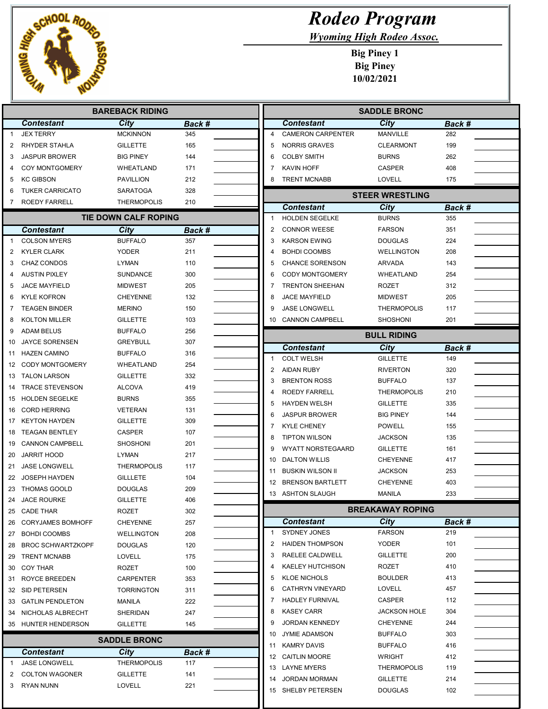

I 

I Ē

## Rodeo Program

Wyoming High Rodeo Assoc.

|              |                          | <b>BAREBACK RIDING</b>      |        |                | <b>SADDLE BRONC</b>                       |                                |               |  |  |
|--------------|--------------------------|-----------------------------|--------|----------------|-------------------------------------------|--------------------------------|---------------|--|--|
|              | <b>Contestant</b>        | City                        | Back # |                | <b>Contestant</b>                         | City                           | Back #        |  |  |
| $\mathbf{1}$ | <b>JEX TERRY</b>         | <b>MCKINNON</b>             | 345    | $\overline{4}$ | <b>CAMERON CARPENTER</b>                  | MANVILLE                       | 282           |  |  |
| 2            | RHYDER STAHLA            | <b>GILLETTE</b>             | 165    | 5              | <b>NORRIS GRAVES</b>                      | <b>CLEARMONT</b>               | 199           |  |  |
| 3            | <b>JASPUR BROWER</b>     | <b>BIG PINEY</b>            | 144    | 6              | <b>COLBY SMITH</b>                        | <b>BURNS</b>                   | 262           |  |  |
| 4            | <b>COY MONTGOMERY</b>    | WHEATLAND                   | 171    | 7              | KAVIN HOFF                                | <b>CASPER</b>                  | 408           |  |  |
| 5            | <b>KC GIBSON</b>         | PAVILLION                   | 212    | 8              | <b>TRENT MCNABB</b>                       | <b>LOVELL</b>                  | 175           |  |  |
| 6            | <b>TUKER CARRICATO</b>   | SARATOGA                    | 328    |                |                                           | <b>STEER WRESTLING</b>         |               |  |  |
| 7            | ROEDY FARRELL            | <b>THERMOPOLIS</b>          | 210    |                | <b>Contestant</b>                         | City                           | <b>Back #</b> |  |  |
|              |                          | <b>TIE DOWN CALF ROPING</b> |        | -1             | <b>HOLDEN SEGELKE</b>                     | <b>BURNS</b>                   | 355           |  |  |
|              | <b>Contestant</b>        | City                        | Back # | $\overline{2}$ | <b>CONNOR WEESE</b>                       | <b>FARSON</b>                  | 351           |  |  |
| $\mathbf{1}$ | <b>COLSON MYERS</b>      | <b>BUFFALO</b>              | 357    | 3              | <b>KARSON EWING</b>                       | <b>DOUGLAS</b>                 | 224           |  |  |
| 2            | <b>KYLER CLARK</b>       | YODER                       | 211    | 4              | <b>BOHDI COOMBS</b>                       | <b>WELLINGTON</b>              | 208           |  |  |
| 3            | CHAZ CONDOS              | LYMAN                       | 110    | 5              | <b>CHANCE SORENSON</b>                    | <b>ARVADA</b>                  | 143           |  |  |
| 4            | <b>AUSTIN PIXLEY</b>     | <b>SUNDANCE</b>             | 300    | 6              | <b>CODY MONTGOMERY</b>                    | WHEATLAND                      | 254           |  |  |
| 5            | <b>JACE MAYFIELD</b>     | <b>MIDWEST</b>              | 205    | 7              | <b>TRENTON SHEEHAN</b>                    | <b>ROZET</b>                   | 312           |  |  |
| 6            | <b>KYLE KOFRON</b>       | <b>CHEYENNE</b>             | 132    | 8              | <b>JACE MAYFIELD</b>                      | <b>MIDWEST</b>                 | 205           |  |  |
| 7            | <b>TEAGEN BINDER</b>     | <b>MERINO</b>               | 150    | 9              | <b>JASE LONGWELL</b>                      | <b>THERMOPOLIS</b>             | 117           |  |  |
| 8            | <b>KOLTON MILLER</b>     | <b>GILLETTE</b>             | 103    |                | 10 CANNON CAMPBELL                        | <b>SHOSHONI</b>                | 201           |  |  |
| 9            | <b>ADAM BELUS</b>        | <b>BUFFALO</b>              | 256    |                |                                           | <b>BULL RIDING</b>             |               |  |  |
| 10           | <b>JAYCE SORENSEN</b>    | <b>GREYBULL</b>             | 307    |                | <b>Contestant</b>                         | City                           | Back #        |  |  |
| 11           | <b>HAZEN CAMINO</b>      | <b>BUFFALO</b>              | 316    | -1             | <b>COLT WELSH</b>                         | <b>GILLETTE</b>                | 149           |  |  |
| 12           | <b>CODY MONTGOMERY</b>   | WHEATLAND                   | 254    | $\overline{2}$ | <b>AIDAN RUBY</b>                         | <b>RIVERTON</b>                | 320           |  |  |
|              | 13 TALON LARSON          | <b>GILLETTE</b>             | 332    | 3              | <b>BRENTON ROSS</b>                       | <b>BUFFALO</b>                 | 137           |  |  |
| 14           | <b>TRACE STEVENSON</b>   | <b>ALCOVA</b>               | 419    | 4              | ROEDY FARRELL                             | <b>THERMOPOLIS</b>             | 210           |  |  |
| 15           | <b>HOLDEN SEGELKE</b>    | <b>BURNS</b>                | 355    | 5              | <b>HAYDEN WELSH</b>                       | <b>GILLETTE</b>                | 335           |  |  |
| 16           | <b>CORD HERRING</b>      | <b>VETERAN</b>              | 131    | 6              | <b>JASPUR BROWER</b>                      | <b>BIG PINEY</b>               | 144           |  |  |
| 17           | <b>KEYTON HAYDEN</b>     | GILLETTE                    | 309    | 7              | <b>KYLE CHENEY</b>                        | <b>POWELL</b>                  | 155           |  |  |
| 18           | <b>TEAGAN BENTLEY</b>    | <b>CASPER</b>               | 107    | 8              | <b>TIPTON WILSON</b>                      | <b>JACKSON</b>                 | 135           |  |  |
| 19           | <b>CANNON CAMPBELL</b>   | <b>SHOSHONI</b>             | 201    | 9              | WYATT NORSTEGAARD                         | <b>GILLETTE</b>                | 161           |  |  |
| 20           | <b>JARRIT HOOD</b>       | <b>LYMAN</b>                | 217    | 10             | <b>DALTON WILLIS</b>                      | <b>CHEYENNE</b>                | 417           |  |  |
| 21           | <b>JASE LONGWELL</b>     | <b>THERMOPOLIS</b>          | 117    | 11             | <b>BUSKIN WILSON II</b>                   | <b>JACKSON</b>                 | 253           |  |  |
|              | 22 JOSEPH HAYDEN         | GILLLETE                    | 104    | 12             | <b>BRENSON BARTLETT</b>                   | <b>CHEYENNE</b>                | 403           |  |  |
| 23           | THOMAS GOOLD             | <b>DOUGLAS</b>              | 209    |                | 13 ASHTON SLAUGH                          | MANILA                         | 233           |  |  |
|              | 24 JACE ROURKE           | <b>GILLETTE</b>             | 406    |                |                                           |                                |               |  |  |
| 25           | CADE THAR                | ROZET                       | 302    |                | <b>BREAKAWAY ROPING</b>                   |                                |               |  |  |
| 26           | <b>CORYJAMES BOMHOFF</b> | <b>CHEYENNE</b>             | 257    |                | <b>Contestant</b>                         | City                           | Back #        |  |  |
| 27           | <b>BOHDI COOMBS</b>      | <b>WELLINGTON</b>           | 208    | $\mathbf 1$    | <b>SYDNEY JONES</b>                       | <b>FARSON</b>                  | 219           |  |  |
| 28           | BROC SCHWARTZKOPF        | <b>DOUGLAS</b>              | 120    | 2<br>3         | <b>HAIDEN THOMPSON</b><br>RAELEE CALDWELL | YODER<br><b>GILLETTE</b>       | 101<br>200    |  |  |
| 29           | <b>TRENT MCNABB</b>      | LOVELL                      | 175    | 4              | KAELEY HUTCHISON                          |                                |               |  |  |
| 30           | COY THAR                 | ROZET                       | 100    | 5              | <b>KLOE NICHOLS</b>                       | <b>ROZET</b><br><b>BOULDER</b> | 410<br>413    |  |  |
| 31           | ROYCE BREEDEN            | CARPENTER                   | 353    | 6              | CATHRYN VINEYARD                          | <b>LOVELL</b>                  | 457           |  |  |
|              | 32 SID PETERSEN          | <b>TORRINGTON</b>           | 311    | 7              | <b>HADLEY FURNIVAL</b>                    | CASPER                         | 112           |  |  |
|              | 33 GATLIN PENDLETON      | MANILA                      | 222    | 8              | <b>KASEY CARR</b>                         | <b>JACKSON HOLE</b>            | 304           |  |  |
| 34           | NICHOLAS ALBRECHT        | SHERIDAN                    | 247    | 9              | <b>JORDAN KENNEDY</b>                     | <b>CHEYENNE</b>                | 244           |  |  |
|              | 35 HUNTER HENDERSON      | <b>GILLETTE</b>             | 145    | 10             | <b>JYMIE ADAMSON</b>                      | <b>BUFFALO</b>                 | 303           |  |  |
|              |                          | <b>SADDLE BRONC</b>         |        | 11             | <b>KAMRY DAVIS</b>                        | <b>BUFFALO</b>                 | 416           |  |  |
|              | <b>Contestant</b>        | City                        | Back # |                | 12 CAITLIN MOORE                          | WRIGHT                         | 412           |  |  |
| -1           | JASE LONGWELL            | <b>THERMOPOLIS</b>          | 117    |                | 13 LAYNE MYERS                            | <b>THERMOPOLIS</b>             | 119           |  |  |
| 2            | <b>COLTON WAGONER</b>    | <b>GILLETTE</b>             | 141    |                | 14 JORDAN MORMAN                          | <b>GILLETTE</b>                | 214           |  |  |
| 3            | <b>RYAN NUNN</b>         | LOVELL                      | 221    |                | 15 SHELBY PETERSEN                        | <b>DOUGLAS</b>                 | 102           |  |  |
|              |                          |                             |        |                |                                           |                                |               |  |  |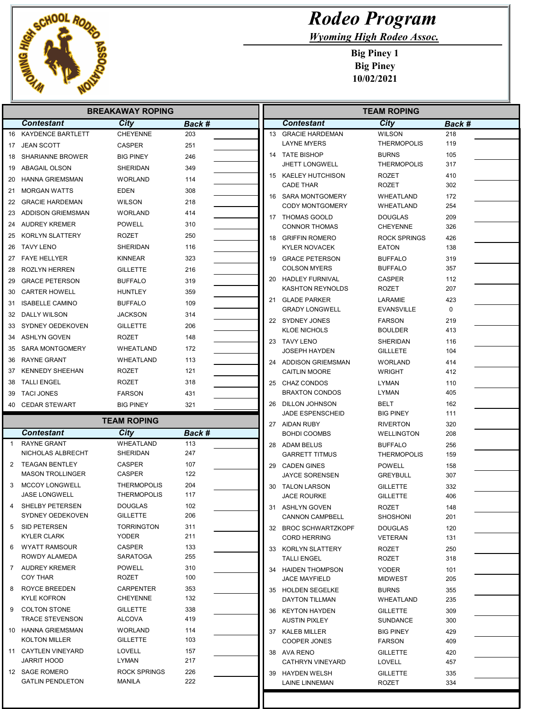

## Rodeo Program

Wyoming High Rodeo Assoc.

| <b>BREAKAWAY ROPING</b> |                                               |                                          |            |    | <b>TEAM ROPING</b>                        |                                   |            |  |
|-------------------------|-----------------------------------------------|------------------------------------------|------------|----|-------------------------------------------|-----------------------------------|------------|--|
|                         | <b>Contestant</b>                             | City                                     | Back #     |    | <b>Contestant</b>                         | City                              | Back #     |  |
|                         | 16 KAYDENCE BARTLETT                          | <b>CHEYENNE</b>                          | 203        |    | 13 GRACIE HARDEMAN                        | <b>WILSON</b>                     | 218        |  |
|                         | 17 JEAN SCOTT                                 | <b>CASPER</b>                            | 251        |    | <b>LAYNE MYERS</b>                        | <b>THERMOPOLIS</b>                | 119        |  |
|                         | 18 SHARIANNE BROWER                           | <b>BIG PINEY</b>                         | 246        |    | 14 TATE BISHOP                            | <b>BURNS</b>                      | 105        |  |
|                         | 19 ABAGAIL OLSON                              | <b>SHERIDAN</b>                          | 349        |    | <b>JHETT LONGWELL</b>                     | <b>THERMOPOLIS</b>                | 317        |  |
|                         | 20 HANNA GRIEMSMAN                            | <b>WORLAND</b>                           | 114        |    | 15 KAELEY HUTCHISON                       | <b>ROZET</b>                      | 410        |  |
|                         | 21 MORGAN WATTS                               | <b>EDEN</b>                              | 308        |    | <b>CADE THAR</b>                          | <b>ROZET</b>                      | 302        |  |
|                         | 22 GRACIE HARDEMAN                            | <b>WILSON</b>                            | 218        |    | 16 SARA MONTGOMERY                        | <b>WHEATLAND</b>                  | 172        |  |
|                         | 23 ADDISON GRIEMSMAN                          | <b>WORLAND</b>                           | 414        |    | <b>CODY MONTGOMERY</b>                    | WHEATLAND                         | 254        |  |
| 24                      | AUDREY KREMER                                 | <b>POWELL</b>                            | 310        |    | 17 THOMAS GOOLD<br><b>CONNOR THOMAS</b>   | <b>DOUGLAS</b><br><b>CHEYENNE</b> | 209<br>326 |  |
|                         | 25 KORLYN SLATTERY                            | <b>ROZET</b>                             | 250        |    | 18 GRIFFIN ROMERO                         | <b>ROCK SPRINGS</b>               | 426        |  |
| 26                      | TAVY LENO                                     | <b>SHERIDAN</b>                          | 116        |    | <b>KYLER NOVACEK</b>                      | <b>EATON</b>                      | 138        |  |
|                         | 27 FAYE HELLYER                               | <b>KINNEAR</b>                           | 323        |    | 19 GRACE PETERSON                         | <b>BUFFALO</b>                    | 319        |  |
|                         | 28 ROZLYN HERREN                              | <b>GILLETTE</b>                          | 216        |    | <b>COLSON MYERS</b>                       | <b>BUFFALO</b>                    | 357        |  |
| 29                      | GRACE PETERSON                                | <b>BUFFALO</b>                           | 319        |    | 20 HADLEY FURNIVAL                        | <b>CASPER</b>                     | 112        |  |
| 30                      | CARTER HOWELL                                 | <b>HUNTLEY</b>                           | 359        |    | <b>KASHTON REYNOLDS</b>                   | <b>ROZET</b>                      | 207        |  |
| 31                      | <b>ISABELLE CAMINO</b>                        | <b>BUFFALO</b>                           | 109        |    | 21 GLADE PARKER                           | LARAMIE                           | 423        |  |
|                         | 32 DALLY WILSON                               | <b>JACKSON</b>                           | 314        |    | <b>GRADY LONGWELL</b>                     | <b>EVANSVILLE</b>                 | 0          |  |
|                         | 33 SYDNEY OEDEKOVEN                           | <b>GILLETTE</b>                          | 206        |    | 22 SYDNEY JONES                           | <b>FARSON</b>                     | 219        |  |
| 34                      | ASHLYN GOVEN                                  | <b>ROZET</b>                             | 148        |    | <b>KLOE NICHOLS</b>                       | <b>BOULDER</b>                    | 413        |  |
| 35                      | SARA MONTGOMERY                               | WHEATLAND                                | 172        |    | 23 TAVY LENO                              | <b>SHERIDAN</b>                   | 116        |  |
|                         | <b>RAYNE GRANT</b>                            | WHEATLAND                                | 113        |    | <b>JOSEPH HAYDEN</b>                      | <b>GILLLETE</b>                   | 104        |  |
| 36                      | 37 KENNEDY SHEEHAN                            | <b>ROZET</b>                             | 121        |    | 24 ADDISON GRIEMSMAN                      | <b>WORLAND</b>                    | 414        |  |
|                         | 38 TALLI ENGEL                                | <b>ROZET</b>                             | 318        |    | <b>CAITLIN MOORE</b>                      | <b>WRIGHT</b>                     | 412        |  |
| 39                      | <b>TACI JONES</b>                             | <b>FARSON</b>                            | 431        |    | 25 CHAZ CONDOS<br><b>BRAXTON CONDOS</b>   | <b>LYMAN</b><br><b>LYMAN</b>      | 110<br>405 |  |
|                         |                                               |                                          |            |    |                                           |                                   |            |  |
|                         |                                               |                                          |            | 26 |                                           |                                   |            |  |
|                         | 40 CEDAR STEWART                              | <b>BIG PINEY</b>                         | 321        |    | DILLON JOHNSON<br>JADE ESPENSCHEID        | <b>BELT</b><br><b>BIG PINEY</b>   | 162<br>111 |  |
|                         |                                               | <b>TEAM ROPING</b>                       |            |    | 27 AIDAN RUBY                             | <b>RIVERTON</b>                   | 320        |  |
|                         | <b>Contestant</b>                             | City                                     | Back #     |    | <b>BOHDI COOMBS</b>                       | <b>WELLINGTON</b>                 | 208        |  |
| -1                      | <b>RAYNE GRANT</b>                            | <b>WHEATLAND</b>                         | 113        |    | 28 ADAM BELUS                             | <b>BUFFALO</b>                    | 256        |  |
|                         | NICHOLAS ALBRECHT                             | SHERIDAN                                 | 247        |    | <b>GARRETT TITMUS</b>                     | <b>THERMOPOLIS</b>                | 159        |  |
| 2                       | <b>TEAGAN BENTLEY</b>                         | <b>CASPER</b>                            | 107        |    | 29 CADEN GINES                            | <b>POWELL</b>                     | 158        |  |
|                         | <b>MASON TROLLINGER</b>                       | <b>CASPER</b>                            | 122        |    | <b>JAYCE SORENSEN</b>                     | <b>GREYBULL</b>                   | 307        |  |
| 3                       | <b>MCCOY LONGWELL</b><br><b>JASE LONGWELL</b> | <b>THERMOPOLIS</b><br><b>THERMOPOLIS</b> | 204<br>117 |    | 30 TALON LARSON                           | <b>GILLETTE</b>                   | 332        |  |
|                         | 4 SHELBY PETERSEN                             | <b>DOUGLAS</b>                           | 102        |    | <b>JACE ROURKE</b>                        | <b>GILLETTE</b>                   | 406        |  |
|                         | SYDNEY OEDEKOVEN                              | <b>GILLETTE</b>                          | 206        |    | 31 ASHLYN GOVEN<br><b>CANNON CAMPBELL</b> | ROZET<br><b>SHOSHONI</b>          | 148<br>201 |  |
| 5                       | SID PETERSEN                                  | <b>TORRINGTON</b>                        | 311        |    | 32 BROC SCHWARTZKOPF                      | <b>DOUGLAS</b>                    | 120        |  |
|                         | <b>KYLER CLARK</b>                            | YODER                                    | 211        |    | <b>CORD HERRING</b>                       | <b>VETERAN</b>                    | 131        |  |
| 6                       | WYATT RAMSOUR                                 | CASPER                                   | 133        |    | 33 KORLYN SLATTERY                        | ROZET                             | 250        |  |
|                         | ROWDY ALAMEDA                                 | SARATOGA                                 | 255        |    | <b>TALLI ENGEL</b>                        | ROZET                             | 318        |  |
|                         | 7 AUDREY KREMER                               | <b>POWELL</b>                            | 310        |    | 34 HAIDEN THOMPSON                        | <b>YODER</b>                      | 101        |  |
|                         | <b>COY THAR</b>                               | ROZET                                    | 100        |    | <b>JACE MAYFIELD</b>                      | <b>MIDWEST</b>                    | 205        |  |
| 8                       | ROYCE BREEDEN                                 | CARPENTER<br><b>CHEYENNE</b>             | 353        |    | 35 HOLDEN SEGELKE                         | <b>BURNS</b>                      | 355        |  |
| 9                       | <b>KYLE KOFRON</b><br>COLTON STONE            | <b>GILLETTE</b>                          | 132<br>338 |    | DAYTON TILLMAN                            | WHEATLAND                         | 235        |  |
|                         | <b>TRACE STEVENSON</b>                        | <b>ALCOVA</b>                            | 419        |    | 36 KEYTON HAYDEN<br><b>AUSTIN PIXLEY</b>  | <b>GILLETTE</b><br>SUNDANCE       | 309<br>300 |  |
|                         | 10 HANNA GRIEMSMAN                            | <b>WORLAND</b>                           | 114        |    | 37 KALEB MILLER                           | <b>BIG PINEY</b>                  | 429        |  |
|                         | KOLTON MILLER                                 | <b>GILLETTE</b>                          | 103        |    | COOPER JONES                              | <b>FARSON</b>                     | 409        |  |
|                         | 11 CAYTLEN VINEYARD                           | LOVELL                                   | 157        |    | 38 AVA RENO                               | <b>GILLETTE</b>                   | 420        |  |
|                         | JARRIT HOOD                                   | LYMAN                                    | 217        |    | <b>CATHRYN VINEYARD</b>                   | LOVELL                            | 457        |  |
|                         | 12 SAGE ROMERO                                | ROCK SPRINGS                             | 226        |    | 39 HAYDEN WELSH                           | <b>GILLETTE</b>                   | 335        |  |
|                         | <b>GATLIN PENDLETON</b>                       | <b>MANILA</b>                            | 222        |    | LAINE LINNEMAN                            | <b>ROZET</b>                      | 334        |  |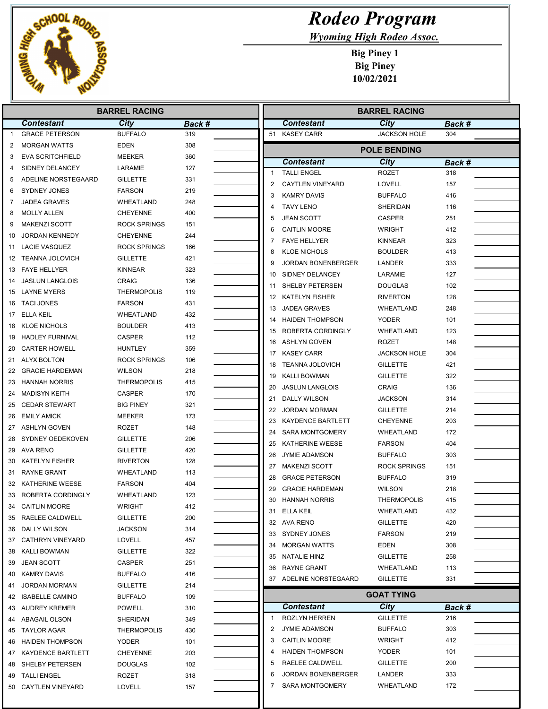

## Rodeo Program

Wyoming High Rodeo Assoc.

|    |                                   | <b>BARREL RACING</b> |        |              | <b>BARREL RACING</b>      |                     |               |  |
|----|-----------------------------------|----------------------|--------|--------------|---------------------------|---------------------|---------------|--|
|    | <b>Contestant</b>                 | City                 | Back # |              | <b>Contestant</b>         | City                | Back #        |  |
| 1  | <b>GRACE PETERSON</b>             | <b>BUFFALO</b>       | 319    |              | 51 KASEY CARR             | <b>JACKSON HOLE</b> | 304           |  |
| 2  | <b>MORGAN WATTS</b>               | <b>EDEN</b>          | 308    |              |                           | <b>POLE BENDING</b> |               |  |
| 3  | <b>EVA SCRITCHFIELD</b>           | <b>MEEKER</b>        | 360    |              | <b>Contestant</b>         | City                | <b>Back #</b> |  |
| 4  | SIDNEY DELANCEY                   | LARAMIE              | 127    | $\mathbf{1}$ | <b>TALLI ENGEL</b>        | <b>ROZET</b>        | 318           |  |
| 5  | ADELINE NORSTEGAARD               | <b>GILLETTE</b>      | 331    | 2            | <b>CAYTLEN VINEYARD</b>   | LOVELL              | 157           |  |
| 6  | SYDNEY JONES                      | <b>FARSON</b>        | 219    | 3            | <b>KAMRY DAVIS</b>        | <b>BUFFALO</b>      | 416           |  |
| 7  | <b>JADEA GRAVES</b>               | WHEATLAND            | 248    | 4            | <b>TAVY LENO</b>          | SHERIDAN            | 116           |  |
| 8  | <b>MOLLY ALLEN</b>                | <b>CHEYENNE</b>      | 400    | 5            | <b>JEAN SCOTT</b>         | <b>CASPER</b>       | 251           |  |
| 9  | <b>MAKENZI SCOTT</b>              | <b>ROCK SPRINGS</b>  | 151    | 6            | <b>CAITLIN MOORE</b>      | <b>WRIGHT</b>       | 412           |  |
| 10 | <b>JORDAN KENNEDY</b>             | <b>CHEYENNE</b>      | 244    | 7            | <b>FAYE HELLYER</b>       | <b>KINNEAR</b>      | 323           |  |
| 11 | <b>LACIE VASQUEZ</b>              | <b>ROCK SPRINGS</b>  | 166    | 8            | <b>KLOE NICHOLS</b>       | <b>BOULDER</b>      | 413           |  |
| 12 | <b>TEANNA JOLOVICH</b>            | <b>GILLETTE</b>      | 421    | 9            | <b>JORDAN BONENBERGER</b> | LANDER              | 333           |  |
| 13 | <b>FAYE HELLYER</b>               | <b>KINNEAR</b>       | 323    |              |                           |                     |               |  |
| 14 | <b>JASLUN LANGLOIS</b>            | <b>CRAIG</b>         | 136    | 10           | SIDNEY DELANCEY           | LARAMIE             | 127           |  |
|    | 15 LAYNE MYERS                    | <b>THERMOPOLIS</b>   | 119    | 11           | SHELBY PETERSEN           | <b>DOUGLAS</b>      | 102           |  |
| 16 | <b>TACI JONES</b>                 | <b>FARSON</b>        | 431    | 12           | <b>KATELYN FISHER</b>     | <b>RIVERTON</b>     | 128           |  |
| 17 | <b>ELLA KEIL</b>                  | WHEATLAND            | 432    | 13           | <b>JADEA GRAVES</b>       | WHEATLAND           | 248           |  |
| 18 | <b>KLOE NICHOLS</b>               | <b>BOULDER</b>       | 413    | 14           | <b>HAIDEN THOMPSON</b>    | <b>YODER</b>        | 101           |  |
| 19 | <b>HADLEY FURNIVAL</b>            | <b>CASPER</b>        | 112    | 15           | ROBERTA CORDINGLY         | WHEATLAND           | 123           |  |
| 20 | <b>CARTER HOWELL</b>              | HUNTLEY              | 359    | 16           | <b>ASHLYN GOVEN</b>       | ROZET               | 148           |  |
|    | 21 ALYX BOLTON                    | <b>ROCK SPRINGS</b>  | 106    | 17           | <b>KASEY CARR</b>         | <b>JACKSON HOLE</b> | 304           |  |
| 22 | <b>GRACIE HARDEMAN</b>            | <b>WILSON</b>        | 218    | 18           | <b>TEANNA JOLOVICH</b>    | <b>GILLETTE</b>     | 421           |  |
| 23 | <b>HANNAH NORRIS</b>              | <b>THERMOPOLIS</b>   | 415    | 19           | <b>KALLI BOWMAN</b>       | <b>GILLETTE</b>     | 322           |  |
| 24 | <b>MADISYN KEITH</b>              | <b>CASPER</b>        | 170    | 20           | <b>JASLUN LANGLOIS</b>    | <b>CRAIG</b>        | 136           |  |
| 25 | <b>CEDAR STEWART</b>              | <b>BIG PINEY</b>     | 321    | 21           | DALLY WILSON              | <b>JACKSON</b>      | 314           |  |
| 26 | <b>EMILY AMICK</b>                | MEEKER               | 173    | 22           | <b>JORDAN MORMAN</b>      | <b>GILLETTE</b>     | 214           |  |
| 27 | <b>ASHLYN GOVEN</b>               | <b>ROZET</b>         | 148    | 23           | <b>KAYDENCE BARTLETT</b>  | <b>CHEYENNE</b>     | 203           |  |
| 28 | SYDNEY OEDEKOVEN                  | <b>GILLETTE</b>      | 206    | 24           | <b>SARA MONTGOMERY</b>    | WHEATLAND           | 172           |  |
| 29 | AVA RENO                          | <b>GILLETTE</b>      | 420    | 25           | KATHERINE WEESE           | <b>FARSON</b>       | 404           |  |
| 30 | <b>KATELYN FISHER</b>             | <b>RIVERTON</b>      | 128    | 26           | <b>JYMIE ADAMSON</b>      | <b>BUFFALO</b>      | 303           |  |
| 31 | <b>RAYNE GRANT</b>                | WHEATLAND            | 113    | 27           | <b>MAKENZI SCOTT</b>      | <b>ROCK SPRINGS</b> | 151           |  |
|    | 32 KATHERINE WEESE                | <b>FARSON</b>        | 404    | 28           | <b>GRACE PETERSON</b>     | <b>BUFFALO</b>      | 319           |  |
| 33 | ROBERTA CORDINGLY                 | WHEATLAND            | 123    | 29           | <b>GRACIE HARDEMAN</b>    | <b>WILSON</b>       | 218           |  |
| 34 | <b>CAITLIN MOORE</b>              | <b>WRIGHT</b>        | 412    | 30           | <b>HANNAH NORRIS</b>      | <b>THERMOPOLIS</b>  | 415           |  |
|    | 35 RAELEE CALDWELL                | <b>GILLETTE</b>      | 200    |              | 31 ELLA KEIL              | WHEATLAND           | 432           |  |
| 36 | <b>DALLY WILSON</b>               | <b>JACKSON</b>       | 314    |              | 32 AVA RENO               | <b>GILLETTE</b>     | 420           |  |
| 37 | <b>CATHRYN VINEYARD</b>           | LOVELL               | 457    |              | 33 SYDNEY JONES           | <b>FARSON</b>       | 219           |  |
|    |                                   |                      |        |              | 34 MORGAN WATTS           | <b>EDEN</b>         | 308           |  |
| 38 | KALLI BOWMAN<br><b>JEAN SCOTT</b> | <b>GILLETTE</b>      | 322    |              | 35 NATALIE HINZ           | <b>GILLETTE</b>     | 258           |  |
| 39 |                                   | CASPER               | 251    | 36           | RAYNE GRANT               | WHEATLAND           | 113           |  |
| 40 | <b>KAMRY DAVIS</b>                | <b>BUFFALO</b>       | 416    |              | 37 ADELINE NORSTEGAARD    | <b>GILLETTE</b>     | 331           |  |
| 41 | <b>JORDAN MORMAN</b>              | <b>GILLETTE</b>      | 214    |              |                           | <b>GOAT TYING</b>   |               |  |
| 42 | <b>ISABELLE CAMINO</b>            | <b>BUFFALO</b>       | 109    |              | <b>Contestant</b>         | City                |               |  |
| 43 | AUDREY KREMER                     | <b>POWELL</b>        | 310    | -1           | <b>ROZLYN HERREN</b>      | <b>GILLETTE</b>     | Back #<br>216 |  |
| 44 | ABAGAIL OLSON                     | SHERIDAN             | 349    | 2            | <b>JYMIE ADAMSON</b>      |                     |               |  |
| 45 | <b>TAYLOR AGAR</b>                | <b>THERMOPOLIS</b>   | 430    |              |                           | <b>BUFFALO</b>      | 303           |  |
| 46 | <b>HAIDEN THOMPSON</b>            | YODER                | 101    | 3            | <b>CAITLIN MOORE</b>      | WRIGHT              | 412           |  |
| 47 | KAYDENCE BARTLETT                 | <b>CHEYENNE</b>      | 203    |              | <b>HAIDEN THOMPSON</b>    | YODER               | 101           |  |
| 48 | SHELBY PETERSEN                   | <b>DOUGLAS</b>       | 102    | 5            | RAELEE CALDWELL           | <b>GILLETTE</b>     | 200           |  |
| 49 | <b>TALLI ENGEL</b>                | ROZET                | 318    | 6            | JORDAN BONENBERGER        | LANDER              | 333           |  |
| 50 | CAYTLEN VINEYARD                  | LOVELL               | 157    | 7            | <b>SARA MONTGOMERY</b>    | WHEATLAND           | 172           |  |